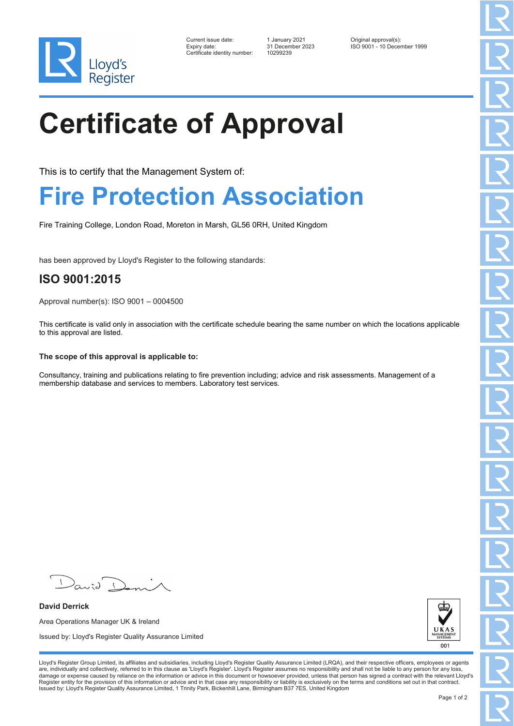

| Current issue date:          |
|------------------------------|
| Expiry date:                 |
| Certificate identity number: |

Certificate identity number: 10299239

Current issue date: 1 January 2021 Original approval(s): Expiry date: 31 December 2023 ISO 9001 - 10 December 1999

# **Certificate of Approval**

This is to certify that the Management System of:

### **Fire Protection Association**

Fire Training College, London Road, Moreton in Marsh, GL56 0RH, United Kingdom

has been approved by Lloyd's Register to the following standards:

### **ISO 9001:2015**

Approval number(s): ISO 9001 – 0004500

This certificate is valid only in association with the certificate schedule bearing the same number on which the locations applicable to this approval are listed.

### **The scope of this approval is applicable to:**

Consultancy, training and publications relating to fire prevention including; advice and risk assessments. Management of a membership database and services to members. Laboratory test services.

 $\mathcal{N}$ 

**David Derrick** Area Operations Manager UK & Ireland Issued by: Lloyd's Register Quality Assurance Limited



Lloyd's Register Group Limited, its affiliates and subsidiaries, including Lloyd's Register Quality Assurance Limited (LRQA), and their respective officers, employees or agents are, individually and collectively, referred to in this clause as 'Lloyd's Register'. Lloyd's Register assumes no responsibility and shall not be liable to any person for any loss,<br>damage or expense caused by reliance on t Register entity for the provision of this information or advice and in that case any responsibility or liability is exclusively on the terms and conditions set out in that contract. Issued by: Lloyd's Register Quality Assurance Limited, 1 Trinity Park, Bickenhill Lane, Birmingham B37 7ES, United Kingdom